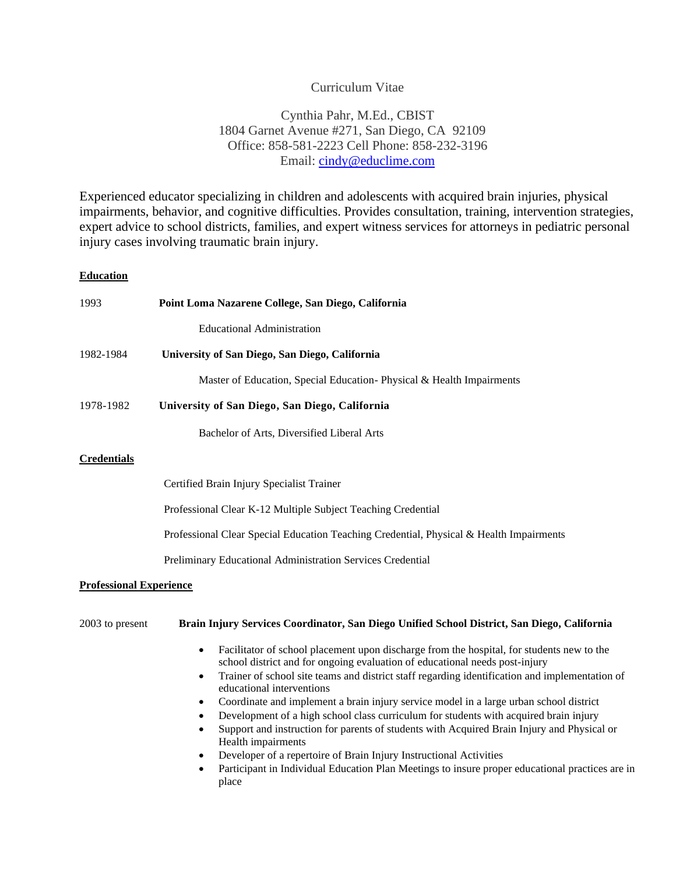# Curriculum Vitae

# Cynthia Pahr, M.Ed., CBIST 1804 Garnet Avenue #271, San Diego, CA 92109 Office: 858-581-2223 Cell Phone: 858-232-3196 Email: [cindy@educlime.com](mailto:cindy@educlime.com)

Experienced educator specializing in children and adolescents with acquired brain injuries, physical impairments, behavior, and cognitive difficulties. Provides consultation, training, intervention strategies, expert advice to school districts, families, and expert witness services for attorneys in pediatric personal injury cases involving traumatic brain injury.

# **Education**

| 1993                           | Point Loma Nazarene College, San Diego, California                                                                                                                                                                                                                                                                                                                                                                                                                                                                                                                                                                                                                                                                                                                                                                                                                                          |  |
|--------------------------------|---------------------------------------------------------------------------------------------------------------------------------------------------------------------------------------------------------------------------------------------------------------------------------------------------------------------------------------------------------------------------------------------------------------------------------------------------------------------------------------------------------------------------------------------------------------------------------------------------------------------------------------------------------------------------------------------------------------------------------------------------------------------------------------------------------------------------------------------------------------------------------------------|--|
|                                | <b>Educational Administration</b>                                                                                                                                                                                                                                                                                                                                                                                                                                                                                                                                                                                                                                                                                                                                                                                                                                                           |  |
| 1982-1984                      | University of San Diego, San Diego, California                                                                                                                                                                                                                                                                                                                                                                                                                                                                                                                                                                                                                                                                                                                                                                                                                                              |  |
|                                | Master of Education, Special Education-Physical & Health Impairments                                                                                                                                                                                                                                                                                                                                                                                                                                                                                                                                                                                                                                                                                                                                                                                                                        |  |
| 1978-1982                      | University of San Diego, San Diego, California                                                                                                                                                                                                                                                                                                                                                                                                                                                                                                                                                                                                                                                                                                                                                                                                                                              |  |
|                                | Bachelor of Arts, Diversified Liberal Arts                                                                                                                                                                                                                                                                                                                                                                                                                                                                                                                                                                                                                                                                                                                                                                                                                                                  |  |
| <b>Credentials</b>             |                                                                                                                                                                                                                                                                                                                                                                                                                                                                                                                                                                                                                                                                                                                                                                                                                                                                                             |  |
|                                | Certified Brain Injury Specialist Trainer                                                                                                                                                                                                                                                                                                                                                                                                                                                                                                                                                                                                                                                                                                                                                                                                                                                   |  |
|                                | Professional Clear K-12 Multiple Subject Teaching Credential                                                                                                                                                                                                                                                                                                                                                                                                                                                                                                                                                                                                                                                                                                                                                                                                                                |  |
|                                | Professional Clear Special Education Teaching Credential, Physical & Health Impairments                                                                                                                                                                                                                                                                                                                                                                                                                                                                                                                                                                                                                                                                                                                                                                                                     |  |
|                                | Preliminary Educational Administration Services Credential                                                                                                                                                                                                                                                                                                                                                                                                                                                                                                                                                                                                                                                                                                                                                                                                                                  |  |
| <b>Professional Experience</b> |                                                                                                                                                                                                                                                                                                                                                                                                                                                                                                                                                                                                                                                                                                                                                                                                                                                                                             |  |
| 2003 to present                | Brain Injury Services Coordinator, San Diego Unified School District, San Diego, California                                                                                                                                                                                                                                                                                                                                                                                                                                                                                                                                                                                                                                                                                                                                                                                                 |  |
|                                | Facilitator of school placement upon discharge from the hospital, for students new to the<br>$\bullet$<br>school district and for ongoing evaluation of educational needs post-injury<br>Trainer of school site teams and district staff regarding identification and implementation of<br>$\bullet$<br>educational interventions<br>Coordinate and implement a brain injury service model in a large urban school district<br>$\bullet$<br>Development of a high school class curriculum for students with acquired brain injury<br>$\bullet$<br>Support and instruction for parents of students with Acquired Brain Injury and Physical or<br>$\bullet$<br>Health impairments<br>Developer of a repertoire of Brain Injury Instructional Activities<br>$\bullet$<br>Participant in Individual Education Plan Meetings to insure proper educational practices are in<br>$\bullet$<br>place |  |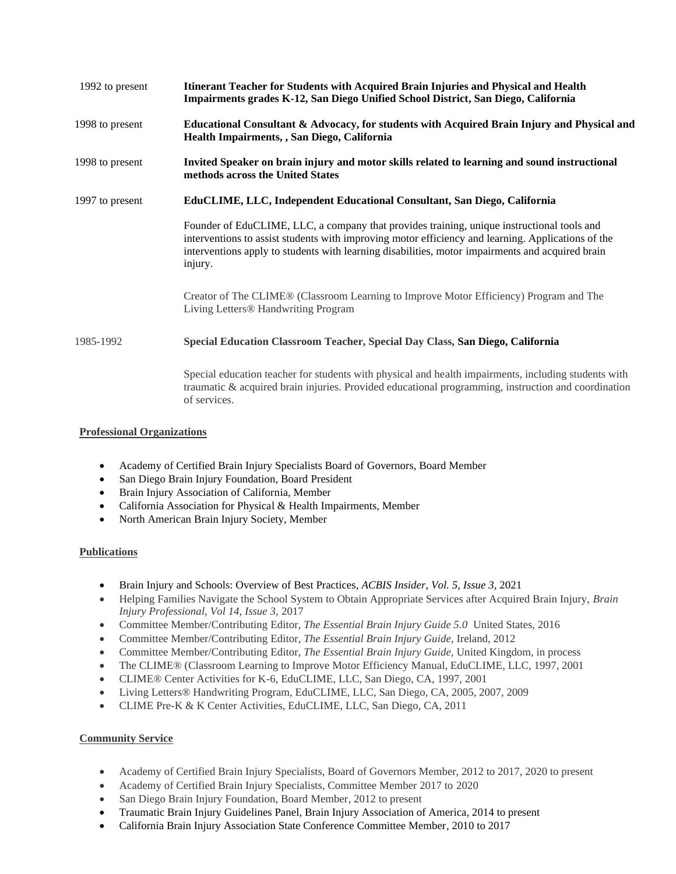| 1992 to present | Itinerant Teacher for Students with Acquired Brain Injuries and Physical and Health<br>Impairments grades K-12, San Diego Unified School District, San Diego, California                                                                                                                                        |
|-----------------|-----------------------------------------------------------------------------------------------------------------------------------------------------------------------------------------------------------------------------------------------------------------------------------------------------------------|
| 1998 to present | Educational Consultant & Advocacy, for students with Acquired Brain Injury and Physical and<br>Health Impairments, , San Diego, California                                                                                                                                                                      |
| 1998 to present | Invited Speaker on brain injury and motor skills related to learning and sound instructional<br>methods across the United States                                                                                                                                                                                |
| 1997 to present | EduCLIME, LLC, Independent Educational Consultant, San Diego, California                                                                                                                                                                                                                                        |
|                 | Founder of EduCLIME, LLC, a company that provides training, unique instructional tools and<br>interventions to assist students with improving motor efficiency and learning. Applications of the<br>interventions apply to students with learning disabilities, motor impairments and acquired brain<br>injury. |
|                 | Creator of The CLIME® (Classroom Learning to Improve Motor Efficiency) Program and The<br>Living Letters® Handwriting Program                                                                                                                                                                                   |
| 1985-1992       | Special Education Classroom Teacher, Special Day Class, San Diego, California                                                                                                                                                                                                                                   |
|                 | Special education teacher for students with physical and health impairments, including students with<br>traumatic & acquired brain injuries. Provided educational programming, instruction and coordination<br>of services.                                                                                     |

#### **Professional Organizations**

- Academy of Certified Brain Injury Specialists Board of Governors, Board Member
- San Diego Brain Injury Foundation, Board President
- Brain Injury Association of California, Member
- California Association for Physical & Health Impairments, Member
- North American Brain Injury Society, Member

#### **Publications**

- Brain Injury and Schools: Overview of Best Practices, *ACBIS Insider*, *Vol. 5, Issue 3,* 2021
- Helping Families Navigate the School System to Obtain Appropriate Services after Acquired Brain Injury, *Brain Injury Professional, Vol 14, Issue 3,* 2017
- Committee Member/Contributing Editor, *The Essential Brain Injury Guide 5.0* United States, 2016
- Committee Member/Contributing Editor, *The Essential Brain Injury Guide,* Ireland, 2012
- Committee Member/Contributing Editor, *The Essential Brain Injury Guide,* United Kingdom, in process
- The CLIME® (Classroom Learning to Improve Motor Efficiency Manual, EduCLIME, LLC, 1997, 2001
- CLIME® Center Activities for K-6, EduCLIME, LLC, San Diego, CA, 1997, 2001
- Living Letters® Handwriting Program, EduCLIME, LLC, San Diego, CA, 2005, 2007, 2009
- CLIME Pre-K & K Center Activities, EduCLIME, LLC, San Diego, CA, 2011

#### **Community Service**

- Academy of Certified Brain Injury Specialists, Board of Governors Member, 2012 to 2017, 2020 to present
- Academy of Certified Brain Injury Specialists, Committee Member 2017 to 2020
- San Diego Brain Injury Foundation, Board Member, 2012 to present
- Traumatic Brain Injury Guidelines Panel, Brain Injury Association of America, 2014 to present
- California Brain Injury Association State Conference Committee Member, 2010 to 2017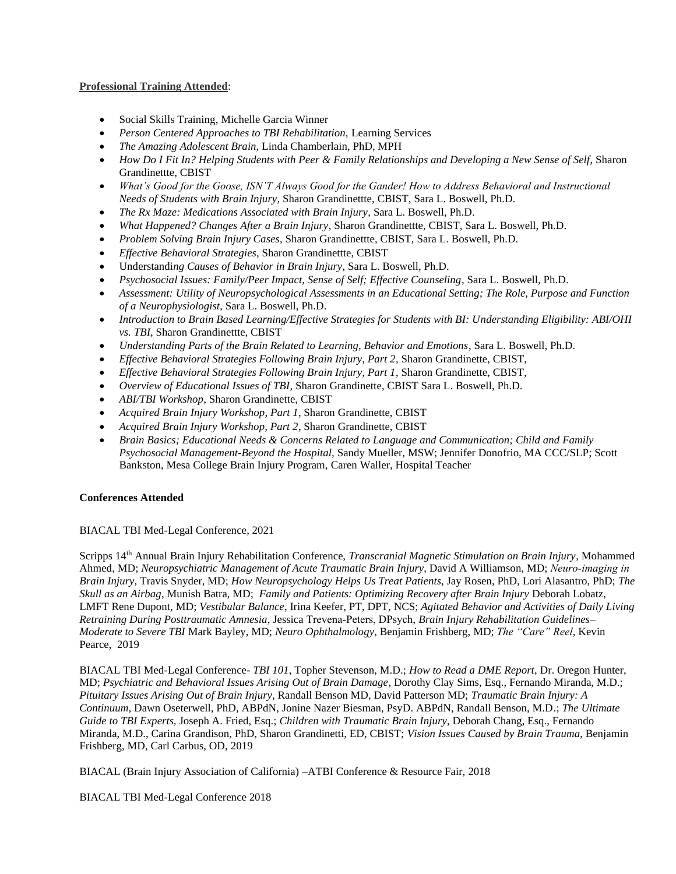#### **Professional Training Attended**:

- Social Skills Training, Michelle Garcia Winner
- *Person Centered Approaches to TBI Rehabilitation,* Learning Services
- *The Amazing Adolescent Brain,* Linda Chamberlain, PhD, MPH
- *How Do I Fit In? Helping Students with Peer & Family Relationships and Developing a New Sense of Self*, Sharon Grandinettte, CBIST
- *What's Good for the Goose, ISN'T Always Good for the Gander! How to Address Behavioral and Instructional Needs of Students with Brain Injury*, Sharon Grandinettte, CBIST, Sara L. Boswell, Ph.D.
- *The Rx Maze: Medications Associated with Brain Injury*, Sara L. Boswell, Ph.D.
- *What Happened? Changes After a Brain Injury*, Sharon Grandinettte, CBIST, Sara L. Boswell, Ph.D.
- *Problem Solving Brain Injury Cases*, Sharon Grandinettte, CBIST, Sara L. Boswell, Ph.D.
- *Effective Behavioral Strategies*, Sharon Grandinettte, CBIST
- Understandi*ng Causes of Behavior in Brain Injury*, Sara L. Boswell, Ph.D.
- *Psychosocial Issues: Family/Peer Impact, Sense of Self; Effective Counseling*, Sara L. Boswell, Ph.D.
- *Assessment: Utility of Neuropsychological Assessments in an Educational Setting; The Role, Purpose and Function of a Neurophysiologist*, Sara L. Boswell, Ph.D.
- *Introduction to Brain Based Learning/Effective Strategies for Students with BI: Understanding Eligibility: ABI/OHI vs. TBI*, Sharon Grandinettte, CBIST
- *Understanding Parts of the Brain Related to Learning, Behavior and Emotions*, Sara L. Boswell, Ph.D.
- *Effective Behavioral Strategies Following Brain Injury, Part 2*, Sharon Grandinette, CBIST,
- *Effective Behavioral Strategies Following Brain Injury, Part 1*, Sharon Grandinette, CBIST,
- *Overview of Educational Issues of TBI*, Sharon Grandinette, CBIST Sara L. Boswell, Ph.D.
- *ABI/TBI Workshop*, Sharon Grandinette, CBIST
- *Acquired Brain Injury Workshop, Part 1*, Sharon Grandinette, CBIST
- *Acquired Brain Injury Workshop, Part 2*, Sharon Grandinette, CBIST
- *Brain Basics; Educational Needs & Concerns Related to Language and Communication; Child and Family Psychosocial Management-Beyond the Hospital,* Sandy Mueller, MSW; Jennifer Donofrio, MA CCC/SLP; Scott Bankston, Mesa College Brain Injury Program, Caren Waller, Hospital Teacher

#### **Conferences Attended**

BIACAL TBI Med-Legal Conference, 2021

Scripps 14th Annual Brain Injury Rehabilitation Conference, *Transcranial Magnetic Stimulation on Brain Injury*, Mohammed Ahmed, MD; *Neuropsychiatric Management of Acute Traumatic Brain Injury*, David A Williamson, MD; *Neuro‐imaging in Brain Injury*, Travis Snyder, MD; *How Neuropsychology Helps Us Treat Patients*, Jay Rosen, PhD, Lori Alasantro, PhD; *The Skull as an Airbag*, Munish Batra, MD; *Family and Patients: Optimizing Recovery after Brain Injury* Deborah Lobatz, LMFT Rene Dupont, MD; *Vestibular Balance*, Irina Keefer, PT, DPT, NCS; *Agitated Behavior and Activities of Daily Living Retraining During Posttraumatic Amnesia*, Jessica Trevena‐Peters, DPsych, *Brain Injury Rehabilitation Guidelines– Moderate to Severe TBI* Mark Bayley, MD; *Neuro Ophthalmology*, Benjamin Frishberg, MD; *The "Care" Reel*, Kevin Pearce, 2019

BIACAL TBI Med-Legal Conference- *TBI 101*, Topher Stevenson, M.D.; *How to Read a DME Report*, Dr. Oregon Hunter, MD; *Psychiatric and Behavioral Issues Arising Out of Brain Damage*, Dorothy Clay Sims, Esq., Fernando Miranda, M.D.; *Pituitary Issues Arising Out of Brain Injury,* Randall Benson MD, David Patterson MD; *Traumatic Brain Injury: A Continuum*, Dawn Oseterwell, PhD, ABPdN, Jonine Nazer Biesman, PsyD. ABPdN, Randall Benson, M.D.; *The Ultimate Guide to TBI Experts,* Joseph A. Fried, Esq.; *Children with Traumatic Brain Injury*, Deborah Chang, Esq., Fernando Miranda, M.D., Carina Grandison, PhD, Sharon Grandinetti, ED, CBIST; *Vision Issues Caused by Brain Trauma*, Benjamin Frishberg, MD, Carl Carbus, OD, 2019

BIACAL (Brain Injury Association of California) –ATBI Conference & Resource Fair, 2018

BIACAL TBI Med-Legal Conference 2018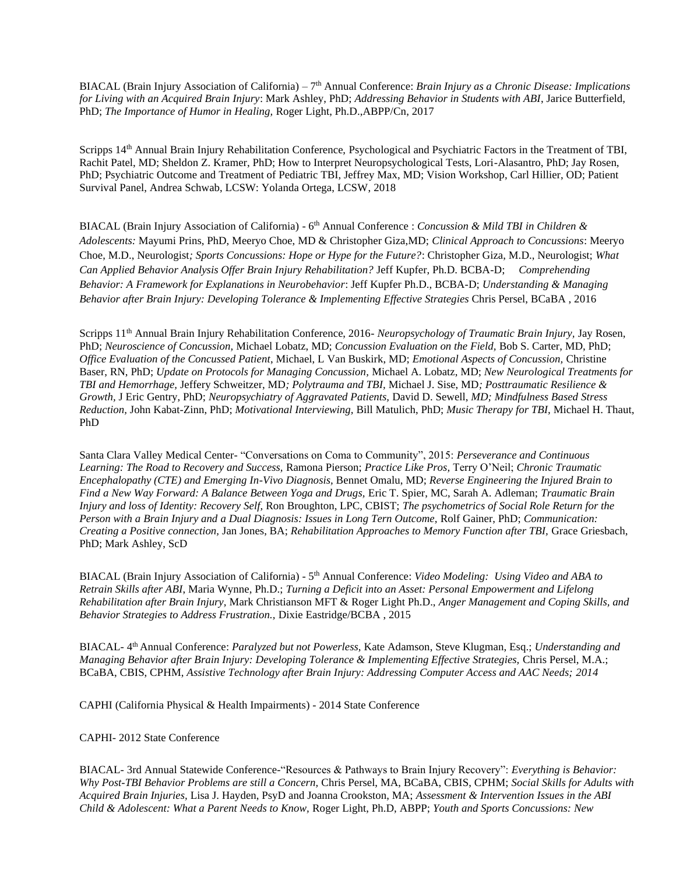BIACAL (Brain Injury Association of California) – 7 th Annual Conference: *Brain Injury as a Chronic Disease: Implications for Living with an Acquired Brain Injury*: Mark Ashley, PhD; *Addressing Behavior in Students with ABI*, Jarice Butterfield, PhD; *The Importance of Humor in Healing,* Roger Light, Ph.D.,ABPP/Cn, 2017

Scripps 14<sup>th</sup> Annual Brain Injury Rehabilitation Conference, Psychological and Psychiatric Factors in the Treatment of TBI, Rachit Patel, MD; Sheldon Z. Kramer, PhD; How to Interpret Neuropsychological Tests, Lori-Alasantro, PhD; Jay Rosen, PhD; Psychiatric Outcome and Treatment of Pediatric TBI, Jeffrey Max, MD; Vision Workshop, Carl Hillier, OD; Patient Survival Panel, Andrea Schwab, LCSW: Yolanda Ortega, LCSW, 2018

BIACAL (Brain Injury Association of California) - 6<sup>th</sup> Annual Conference : *Concussion & Mild TBI in Children & Adolescents:* Mayumi Prins, PhD, Meeryo Choe, MD & Christopher Giza,MD; *Clinical Approach to Concussions*: Meeryo Choe, M.D., Neurologist*; Sports Concussions: Hope or Hype for the Future?*: Christopher Giza, M.D., Neurologist; *What Can Applied Behavior Analysis Offer Brain Injury Rehabilitation?* Jeff Kupfer, Ph.D. BCBA-D; *Comprehending Behavior: A Framework for Explanations in Neurobehavior*: Jeff Kupfer Ph.D., BCBA-D; *Understanding & Managing Behavior after Brain Injury: Developing Tolerance & Implementing Effective Strategies* Chris Persel, BCaBA , 2016

Scripps 11th Annual Brain Injury Rehabilitation Conference, 2016- *Neuropsychology of Traumatic Brain Injury,* Jay Rosen, PhD; *Neuroscience of Concussion,* Michael Lobatz, MD; *Concussion Evaluation on the Field,* Bob S. Carter, MD, PhD; *Office Evaluation of the Concussed Patient*, Michael, L Van Buskirk, MD; *Emotional Aspects of Concussion,* Christine Baser, RN, PhD; *Update on Protocols for Managing Concussion,* Michael A. Lobatz, MD; *New Neurological Treatments for TBI and Hemorrhage,* Jeffery Schweitzer, MD*; Polytrauma and TBI,* Michael J. Sise, MD*; Posttraumatic Resilience & Growth,* J Eric Gentry, PhD; *Neuropsychiatry of Aggravated Patients,* David D. Sewell, *MD; Mindfulness Based Stress Reduction,* John Kabat-Zinn, PhD; *Motivational Interviewing,* Bill Matulich, PhD; *Music Therapy for TBI,* Michael H. Thaut, PhD

Santa Clara Valley Medical Center- "Conversations on Coma to Community", 2015: *Perseverance and Continuous Learning: The Road to Recovery and Success,* Ramona Pierson; *Practice Like Pros,* Terry O'Neil; *Chronic Traumatic Encephalopathy (CTE) and Emerging In-Vivo Diagnosis,* Bennet Omalu, MD; *Reverse Engineering the Injured Brain to Find a New Way Forward: A Balance Between Yoga and Drugs,* Eric T. Spier, MC, Sarah A. Adleman; *Traumatic Brain Injury and loss of Identity: Recovery Self,* Ron Broughton, LPC, CBIST; *The psychometrics of Social Role Return for the Person with a Brain Injury and a Dual Diagnosis: Issues in Long Tern Outcome,* Rolf Gainer, PhD; *Communication: Creating a Positive connection,* Jan Jones, BA; *Rehabilitation Approaches to Memory Function after TBI,* Grace Griesbach, PhD; Mark Ashley, ScD

BIACAL (Brain Injury Association of California) - 5 th Annual Conference: *Video Modeling: Using Video and ABA to Retrain Skills after ABI*, Maria Wynne, Ph.D.; *Turning a Deficit into an Asset: Personal Empowerment and Lifelong Rehabilitation after Brain Injury,* Mark Christianson MFT & Roger Light Ph.D., *Anger Management and Coping Skills, and Behavior Strategies to Address Frustration.,* Dixie Eastridge/BCBA , 2015

BIACAL- 4 th Annual Conference: *Paralyzed but not Powerless,* Kate Adamson, Steve Klugman, Esq.; *Understanding and Managing Behavior after Brain Injury: Developing Tolerance & Implementing Effective Strategies, Chris Persel, M.A.;* BCaBA, CBIS, CPHM, *Assistive Technology after Brain Injury: Addressing Computer Access and AAC Needs; 2014*

CAPHI (California Physical & Health Impairments) - 2014 State Conference

CAPHI- 2012 State Conference

BIACAL- 3rd Annual Statewide Conference-"Resources & Pathways to Brain Injury Recovery": *Everything is Behavior: Why Post-TBI Behavior Problems are still a Concern,* Chris Persel, MA, BCaBA, CBIS, CPHM; *Social Skills for Adults with Acquired Brain Injuries,* Lisa J. Hayden, PsyD and Joanna Crookston, MA; *Assessment & Intervention Issues in the ABI Child & Adolescent: What a Parent Needs to Know,* Roger Light, Ph.D, ABPP; *Youth and Sports Concussions: New*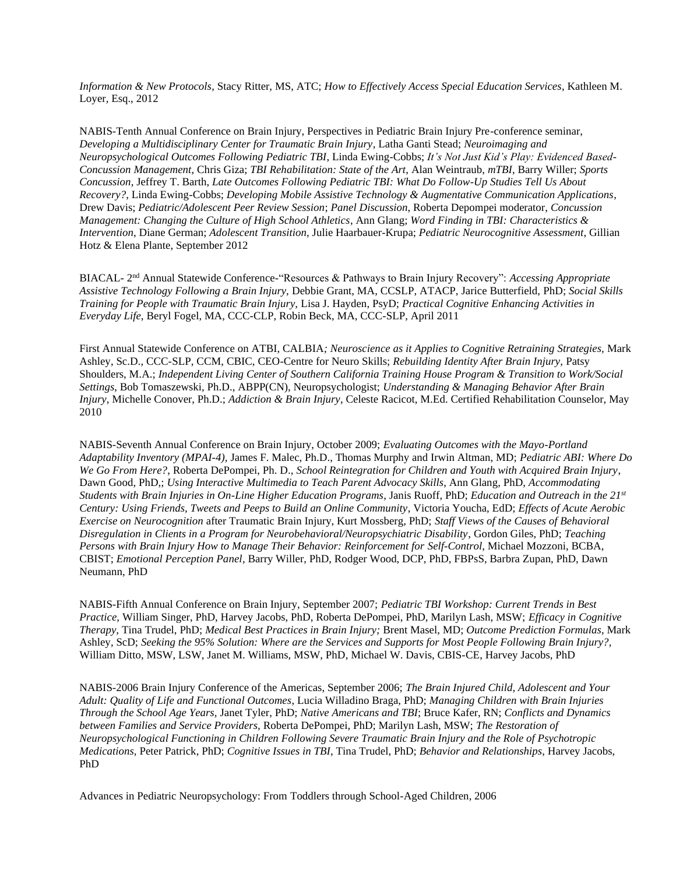*Information & New Protocols*, Stacy Ritter, MS, ATC; *How to Effectively Access Special Education Services*, Kathleen M. Loyer, Esq., 2012

NABIS-Tenth Annual Conference on Brain Injury, Perspectives in Pediatric Brain Injury Pre-conference seminar, *Developing a Multidisciplinary Center for Traumatic Brain Injury*, Latha Ganti Stead; *Neuroimaging and Neuropsychological Outcomes Following Pediatric TBI*, Linda Ewing-Cobbs; *It's Not Just Kid's Play: Evidenced Based-Concussion Management*, Chris Giza; *TBI Rehabilitation: State of the Art*, Alan Weintraub, *mTBI*, Barry Willer; *Sports Concussion*, Jeffrey T. Barth, *Late Outcomes Following Pediatric TBI: What Do Follow-Up Studies Tell Us About Recovery?*, Linda Ewing-Cobbs; *Developing Mobile Assistive Technology & Augmentative Communication Applications*, Drew Davis; *Pediatric/Adolescent Peer Review Session*; *Panel Discussion*, Roberta Depompei moderator, *Concussion Management: Changing the Culture of High School Athletics*, Ann Glang; *Word Finding in TBI: Characteristics & Intervention*, Diane German; *Adolescent Transition*, Julie Haarbauer-Krupa; *Pediatric Neurocognitive Assessment*, Gillian Hotz & Elena Plante, September 2012

BIACAL- 2 nd Annual Statewide Conference-"Resources & Pathways to Brain Injury Recovery": *Accessing Appropriate Assistive Technology Following a Brain Injury,* Debbie Grant, MA, CCSLP, ATACP, Jarice Butterfield, PhD; *Social Skills Training for People with Traumatic Brain Injury,* Lisa J. Hayden, PsyD; *Practical Cognitive Enhancing Activities in Everyday Life,* Beryl Fogel, MA, CCC-CLP, Robin Beck, MA, CCC-SLP, April 2011

First Annual Statewide Conference on ATBI, CALBIA*; Neuroscience as it Applies to Cognitive Retraining Strategies,* Mark Ashley, Sc.D., CCC-SLP, CCM, CBIC, CEO-Centre for Neuro Skills; *Rebuilding Identity After Brain Injury,* Patsy Shoulders, M.A.; *Independent Living Center of Southern California Training House Program & Transition to Work/Social Settings*, Bob Tomaszewski, Ph.D., ABPP(CN), Neuropsychologist; *Understanding & Managing Behavior After Brain Injury*, Michelle Conover, Ph.D.; *Addiction & Brain Injury*, Celeste Racicot, M.Ed. Certified Rehabilitation Counselor, May 2010

NABIS-Seventh Annual Conference on Brain Injury, October 2009; *Evaluating Outcomes with the Mayo-Portland Adaptability Inventory (MPAI-4),* James F. Malec, Ph.D., Thomas Murphy and Irwin Altman, MD; *Pediatric ABI: Where Do We Go From Here?*, Roberta DePompei, Ph. D., *School Reintegration for Children and Youth with Acquired Brain Injury*, Dawn Good, PhD,; *Using Interactive Multimedia to Teach Parent Advocacy Skills*, Ann Glang, PhD, *Accommodating Students with Brain Injuries in On-Line Higher Education Programs*, Janis Ruoff, PhD; *Education and Outreach in the 21st Century: Using Friends, Tweets and Peeps to Build an Online Community*, Victoria Youcha, EdD; *Effects of Acute Aerobic Exercise on Neurocognition* after Traumatic Brain Injury, Kurt Mossberg, PhD; *Staff Views of the Causes of Behavioral Disregulation in Clients in a Program for Neurobehavioral/Neuropsychiatric Disability*, Gordon Giles, PhD; *Teaching Persons with Brain Injury How to Manage Their Behavior: Reinforcement for Self-Control*, Michael Mozzoni, BCBA, CBIST; *Emotional Perception Panel*, Barry Willer, PhD, Rodger Wood, DCP, PhD, FBPsS, Barbra Zupan, PhD, Dawn Neumann, PhD

NABIS-Fifth Annual Conference on Brain Injury, September 2007; *Pediatric TBI Workshop: Current Trends in Best Practice,* William Singer, PhD, Harvey Jacobs, PhD, Roberta DePompei, PhD, Marilyn Lash, MSW; *Efficacy in Cognitive Therapy,* Tina Trudel, PhD; *Medical Best Practices in Brain Injury;* Brent Masel, MD; *Outcome Prediction Formulas*, Mark Ashley, ScD; *Seeking the 95% Solution: Where are the Services and Supports for Most People Following Brain Injury?,*  William Ditto, MSW, LSW, Janet M. Williams, MSW, PhD, Michael W. Davis, CBIS-CE, Harvey Jacobs, PhD

NABIS-2006 Brain Injury Conference of the Americas, September 2006; *The Brain Injured Child, Adolescent and Your Adult: Quality of Life and Functional Outcomes*, Lucia Willadino Braga, PhD; *Managing Children with Brain Injuries Through the School Age Years,* Janet Tyler, PhD; *Native Americans and TBI*; Bruce Kafer, RN; *Conflicts and Dynamics between Families and Service Providers,* Roberta DePompei, PhD; Marilyn Lash, MSW; *The Restoration of Neuropsychological Functioning in Children Following Severe Traumatic Brain Injury and the Role of Psychotropic Medications,* Peter Patrick, PhD; *Cognitive Issues in TBI*, Tina Trudel, PhD; *Behavior and Relationships*, Harvey Jacobs, PhD

Advances in Pediatric Neuropsychology: From Toddlers through School-Aged Children, 2006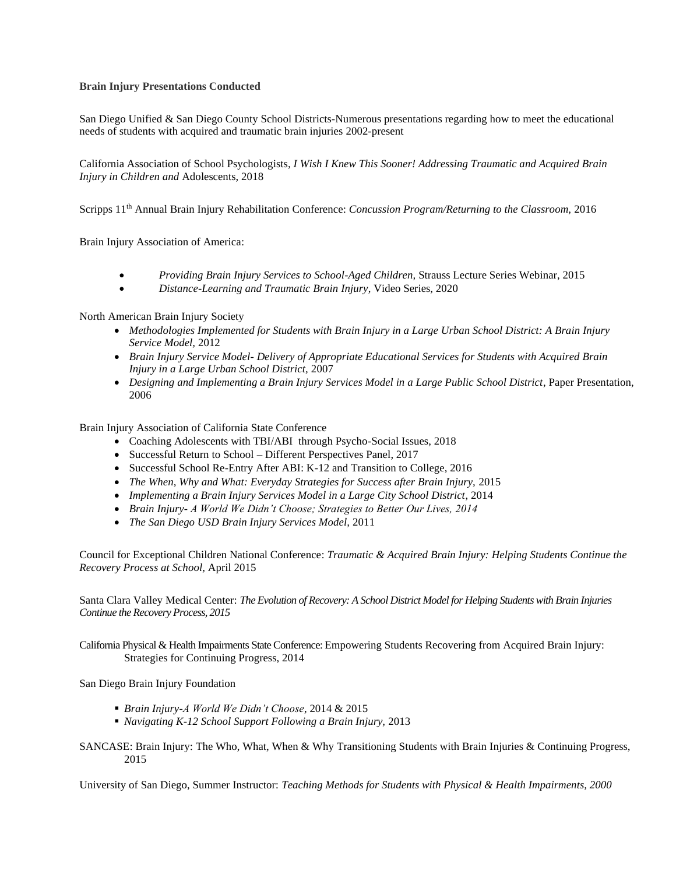#### **Brain Injury Presentations Conducted**

San Diego Unified & San Diego County School Districts-Numerous presentations regarding how to meet the educational needs of students with acquired and traumatic brain injuries 2002-present

California Association of School Psychologists*, I Wish I Knew This Sooner! Addressing Traumatic and Acquired Brain Injury in Children and* Adolescents, 2018

Scripps 11th Annual Brain Injury Rehabilitation Conference: *Concussion Program/Returning to the Classroom,* 2016

Brain Injury Association of America:

- *Providing Brain Injury Services to School-Aged Children,* Strauss Lecture Series Webinar, 2015
- *Distance-Learning and Traumatic Brain Injury*, Video Series, 2020

North American Brain Injury Society

- *Methodologies Implemented for Students with Brain Injury in a Large Urban School District: A Brain Injury Service Model,* 2012
- *Brain Injury Service Model- Delivery of Appropriate Educational Services for Students with Acquired Brain Injury in a Large Urban School District,* 2007
- *Designing and Implementing a Brain Injury Services Model in a Large Public School District*, Paper Presentation, 2006

Brain Injury Association of California State Conference

- Coaching Adolescents with TBI/ABI through Psycho-Social Issues, 2018
- Successful Return to School Different Perspectives Panel, 2017
- Successful School Re-Entry After ABI: K-12 and Transition to College, 2016
- *The When, Why and What: Everyday Strategies for Success after Brain Injury,* 2015
- *Implementing a Brain Injury Services Model in a Large City School District*, 2014
- *Brain Injury- A World We Didn't Choose; Strategies to Better Our Lives, 2014*
- *The San Diego USD Brain Injury Services Model,* 2011

Council for Exceptional Children National Conference: *Traumatic & Acquired Brain Injury: Helping Students Continue the Recovery Process at School,* April 2015

Santa Clara Valley Medical Center: *The Evolution of Recovery: A School District Model for Helping Students with Brain Injuries Continue the Recovery Process, 2015*

California Physical & Health Impairments State Conference: Empowering Students Recovering from Acquired Brain Injury: Strategies for Continuing Progress, 2014

San Diego Brain Injury Foundation

- *Brain Injury-A World We Didn't Choose*, 2014 & 2015
- *Navigating K-12 School Support Following a Brain Injury,* 2013
- SANCASE: Brain Injury: The Who, What, When & Why Transitioning Students with Brain Injuries & Continuing Progress, 2015

University of San Diego, Summer Instructor: *Teaching Methods for Students with Physical & Health Impairments, 2000*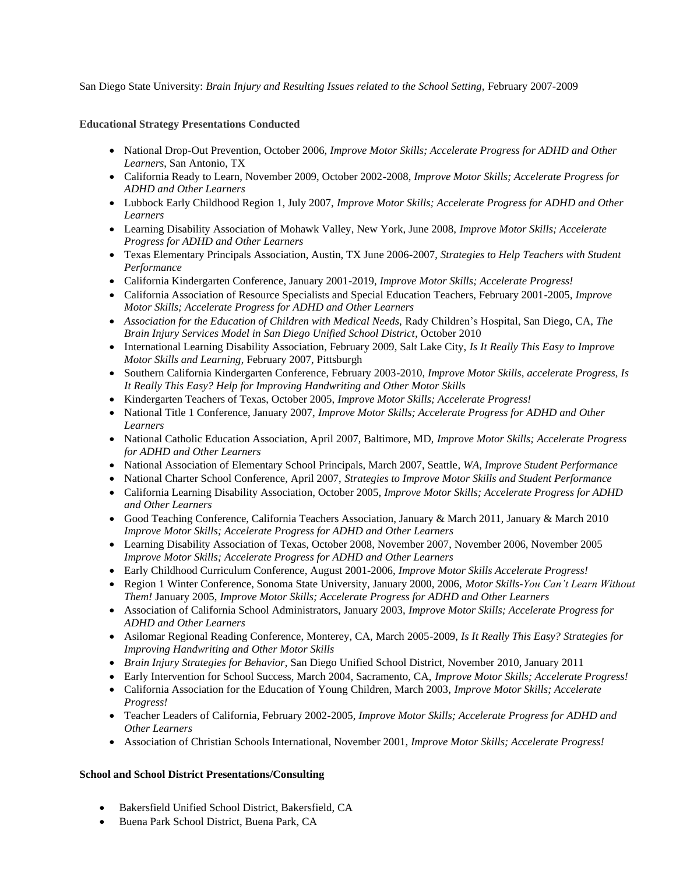San Diego State University: *Brain Injury and Resulting Issues related to the School Setting,* February 2007-2009

### **Educational Strategy Presentations Conducted**

- National Drop-Out Prevention, October 2006, *Improve Motor Skills; Accelerate Progress for ADHD and Other Learners*, San Antonio, TX
- California Ready to Learn, November 2009, October 2002-2008, *Improve Motor Skills; Accelerate Progress for ADHD and Other Learners*
- Lubbock Early Childhood Region 1, July 2007, *Improve Motor Skills; Accelerate Progress for ADHD and Other Learners*
- Learning Disability Association of Mohawk Valley, New York, June 2008, *Improve Motor Skills; Accelerate Progress for ADHD and Other Learners*
- Texas Elementary Principals Association, Austin, TX June 2006-2007, *Strategies to Help Teachers with Student Performance*
- California Kindergarten Conference, January 2001-2019, *Improve Motor Skills; Accelerate Progress!*
- California Association of Resource Specialists and Special Education Teachers, February 2001-2005, *Improve Motor Skills; Accelerate Progress for ADHD and Other Learners*
- *Association for the Education of Children with Medical Needs,* Rady Children's Hospital, San Diego, CA, *The Brain Injury Services Model in San Diego Unified School District*, October 2010
- International Learning Disability Association, February 2009, Salt Lake City, *Is It Really This Easy to Improve Motor Skills and Learning*, February 2007, Pittsburgh
- Southern California Kindergarten Conference, February 2003-2010, *Improve Motor Skills, accelerate Progress, Is It Really This Easy? Help for Improving Handwriting and Other Motor Skills*
- Kindergarten Teachers of Texas, October 2005, *Improve Motor Skills; Accelerate Progress!*
- National Title 1 Conference, January 2007, *Improve Motor Skills; Accelerate Progress for ADHD and Other Learners*
- National Catholic Education Association, April 2007, Baltimore, MD, *Improve Motor Skills; Accelerate Progress for ADHD and Other Learners*
- National Association of Elementary School Principals, March 2007, Seattle*, WA, Improve Student Performance*
- National Charter School Conference, April 2007, *Strategies to Improve Motor Skills and Student Performance*
- California Learning Disability Association, October 2005, *Improve Motor Skills; Accelerate Progress for ADHD and Other Learners*
- Good Teaching Conference, California Teachers Association, January & March 2011, January & March 2010 *Improve Motor Skills; Accelerate Progress for ADHD and Other Learners*
- Learning Disability Association of Texas, October 2008, November 2007, November 2006, November 2005 *Improve Motor Skills; Accelerate Progress for ADHD and Other Learners*
- Early Childhood Curriculum Conference, August 2001-2006, *Improve Motor Skills Accelerate Progress!*
- Region 1 Winter Conference, Sonoma State University, January 2000, 2006, *Motor Skills-You Can't Learn Without Them!* January 2005, *Improve Motor Skills; Accelerate Progress for ADHD and Other Learners*
- Association of California School Administrators, January 2003, *Improve Motor Skills; Accelerate Progress for ADHD and Other Learners*
- Asilomar Regional Reading Conference, Monterey, CA, March 2005-2009, *Is It Really This Easy? Strategies for Improving Handwriting and Other Motor Skills*
- *Brain Injury Strategies for Behavior*, San Diego Unified School District, November 2010, January 2011
- Early Intervention for School Success, March 2004, Sacramento, CA, *Improve Motor Skills; Accelerate Progress!*
- California Association for the Education of Young Children, March 2003, *Improve Motor Skills; Accelerate Progress!*
- Teacher Leaders of California, February 2002-2005, *Improve Motor Skills; Accelerate Progress for ADHD and Other Learners*
- Association of Christian Schools International, November 2001, *Improve Motor Skills; Accelerate Progress!*

# **School and School District Presentations/Consulting**

- Bakersfield Unified School District, Bakersfield, CA
- Buena Park School District, Buena Park, CA